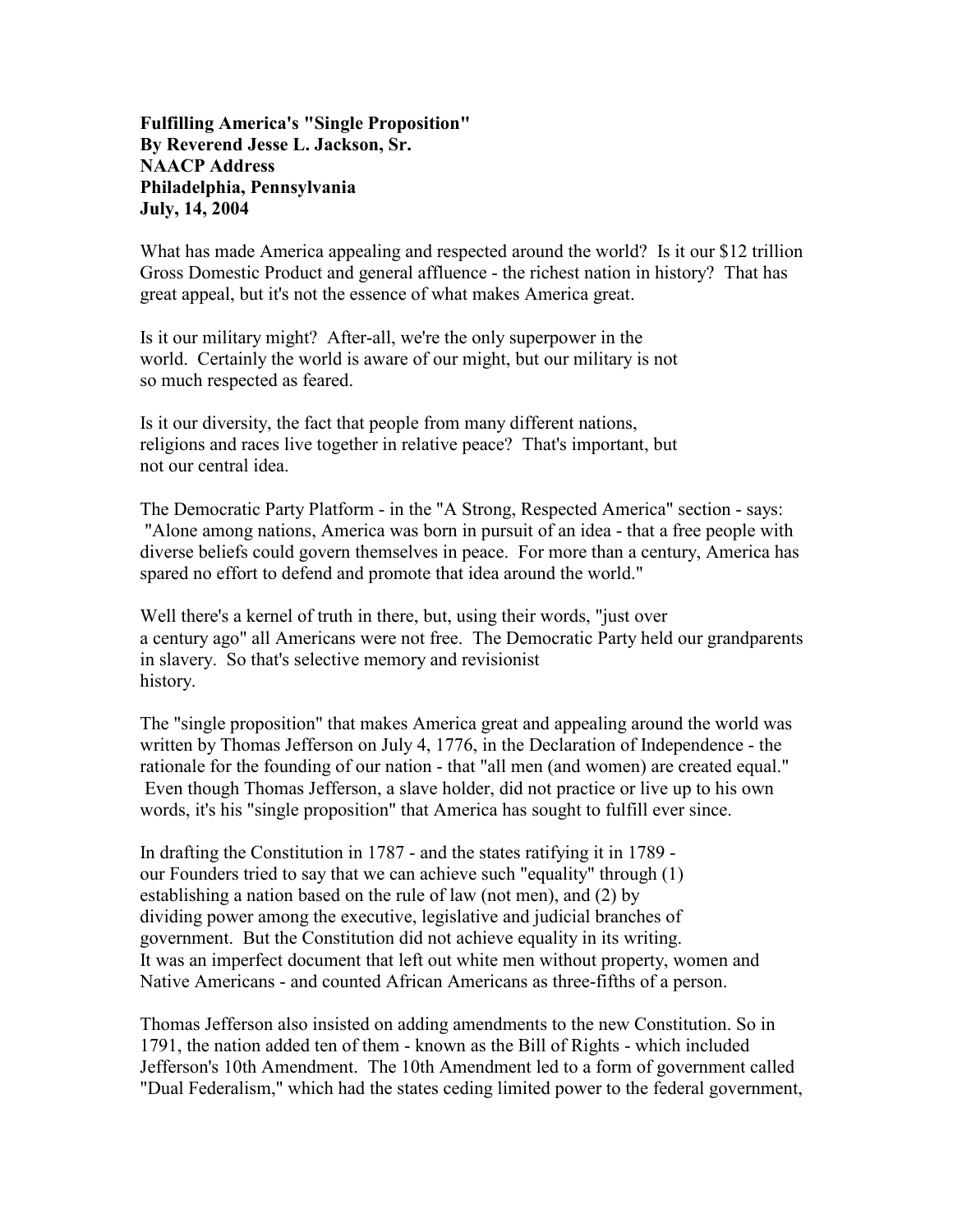## Fulfilling America's "Single Proposition" By Reverend Jesse L. Jackson, Sr. NAACP Address Philadelphia, Pennsylvania July, 14, 2004

What has made America appealing and respected around the world? Is it our \$12 trillion Gross Domestic Product and general affluence - the richest nation in history? That has great appeal, but it's not the essence of what makes America great.

Is it our military might? After-all, we're the only superpower in the world. Certainly the world is aware of our might, but our military is not so much respected as feared.

Is it our diversity, the fact that people from many different nations, religions and races live together in relative peace? That's important, but not our central idea.

The Democratic Party Platform - in the "A Strong, Respected America" section - says: "Alone among nations, America was born in pursuit of an idea - that a free people with diverse beliefs could govern themselves in peace. For more than a century, America has spared no effort to defend and promote that idea around the world."

Well there's a kernel of truth in there, but, using their words, "just over a century ago" all Americans were not free. The Democratic Party held our grandparents in slavery. So that's selective memory and revisionist history.

The "single proposition" that makes America great and appealing around the world was written by Thomas Jefferson on July 4, 1776, in the Declaration of Independence - the rationale for the founding of our nation - that "all men (and women) are created equal." Even though Thomas Jefferson, a slave holder, did not practice or live up to his own words, it's his "single proposition" that America has sought to fulfill ever since.

In drafting the Constitution in 1787 - and the states ratifying it in 1789 our Founders tried to say that we can achieve such "equality" through (1) establishing a nation based on the rule of law (not men), and (2) by dividing power among the executive, legislative and judicial branches of government. But the Constitution did not achieve equality in its writing. It was an imperfect document that left out white men without property, women and Native Americans - and counted African Americans as three-fifths of a person.

Thomas Jefferson also insisted on adding amendments to the new Constitution. So in 1791, the nation added ten of them - known as the Bill of Rights - which included Jefferson's 10th Amendment. The 10th Amendment led to a form of government called "Dual Federalism," which had the states ceding limited power to the federal government,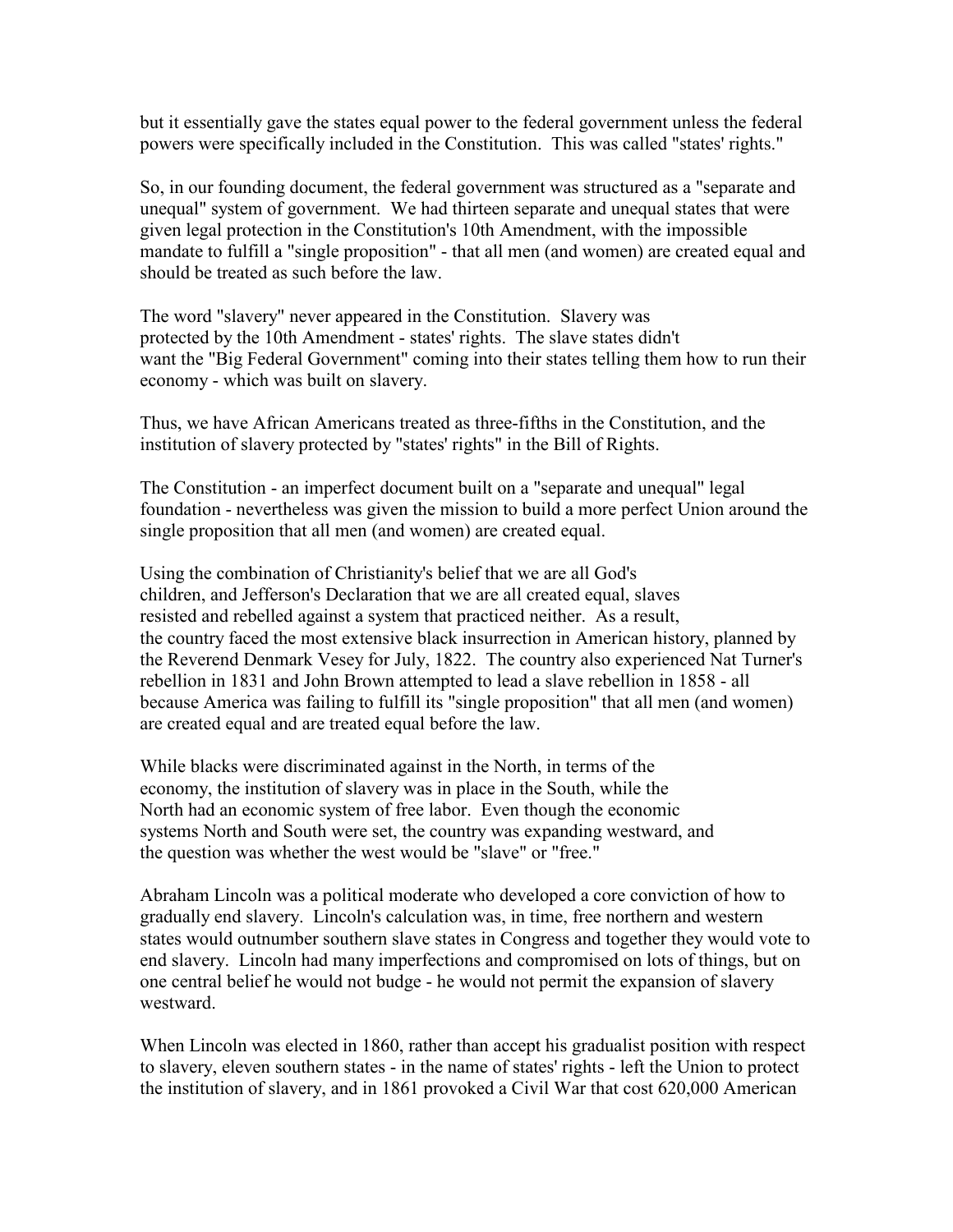but it essentially gave the states equal power to the federal government unless the federal powers were specifically included in the Constitution. This was called "states' rights."

So, in our founding document, the federal government was structured as a "separate and unequal" system of government. We had thirteen separate and unequal states that were given legal protection in the Constitution's 10th Amendment, with the impossible mandate to fulfill a "single proposition" - that all men (and women) are created equal and should be treated as such before the law.

The word "slavery" never appeared in the Constitution. Slavery was protected by the 10th Amendment - states' rights. The slave states didn't want the "Big Federal Government" coming into their states telling them how to run their economy - which was built on slavery.

Thus, we have African Americans treated as three-fifths in the Constitution, and the institution of slavery protected by "states' rights" in the Bill of Rights.

The Constitution - an imperfect document built on a "separate and unequal" legal foundation - nevertheless was given the mission to build a more perfect Union around the single proposition that all men (and women) are created equal.

Using the combination of Christianity's belief that we are all God's children, and Jefferson's Declaration that we are all created equal, slaves resisted and rebelled against a system that practiced neither. As a result, the country faced the most extensive black insurrection in American history, planned by the Reverend Denmark Vesey for July, 1822. The country also experienced Nat Turner's rebellion in 1831 and John Brown attempted to lead a slave rebellion in 1858 - all because America was failing to fulfill its "single proposition" that all men (and women) are created equal and are treated equal before the law.

While blacks were discriminated against in the North, in terms of the economy, the institution of slavery was in place in the South, while the North had an economic system of free labor. Even though the economic systems North and South were set, the country was expanding westward, and the question was whether the west would be "slave" or "free."

Abraham Lincoln was a political moderate who developed a core conviction of how to gradually end slavery. Lincoln's calculation was, in time, free northern and western states would outnumber southern slave states in Congress and together they would vote to end slavery. Lincoln had many imperfections and compromised on lots of things, but on one central belief he would not budge - he would not permit the expansion of slavery westward.

When Lincoln was elected in 1860, rather than accept his gradualist position with respect to slavery, eleven southern states - in the name of states' rights - left the Union to protect the institution of slavery, and in 1861 provoked a Civil War that cost 620,000 American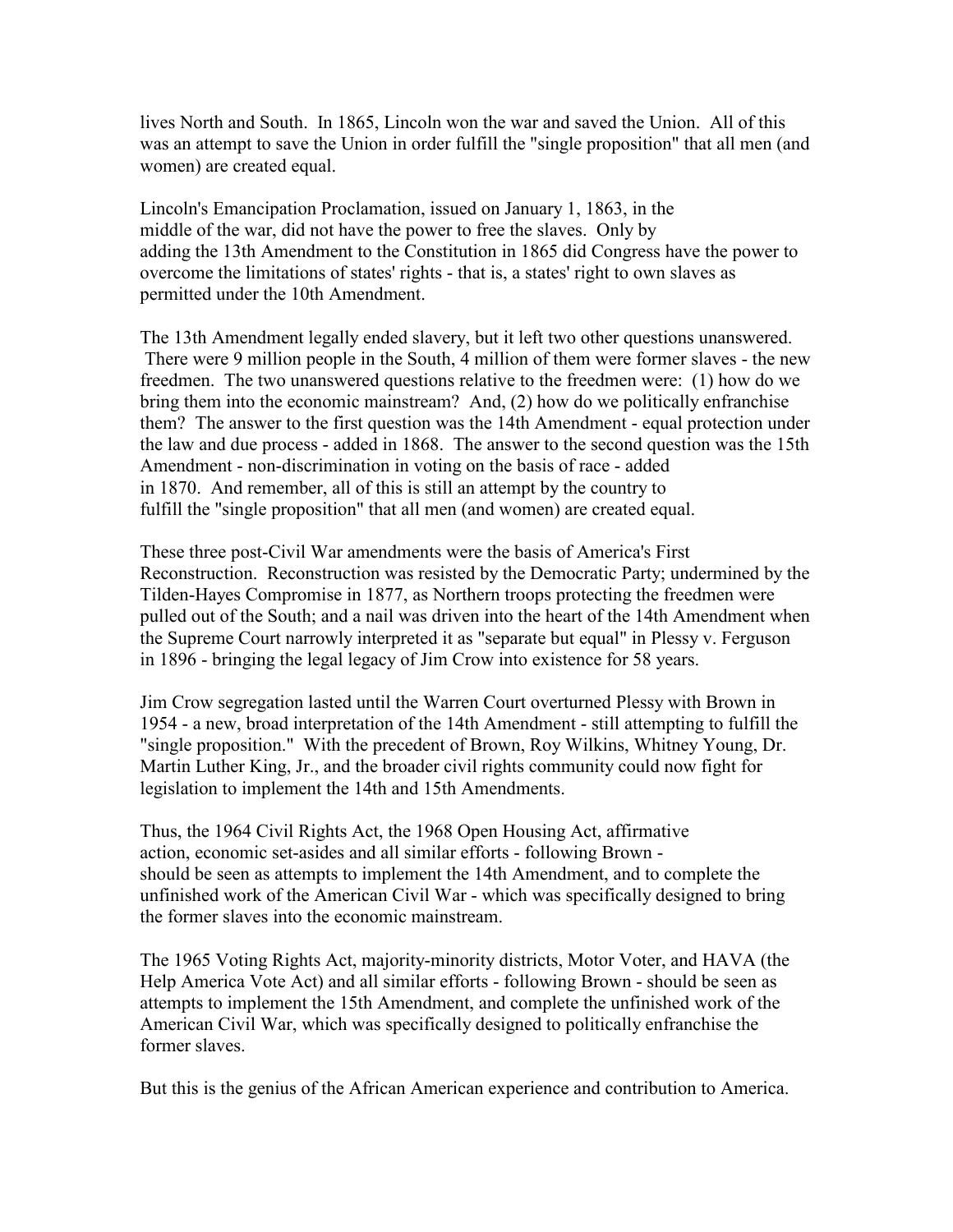lives North and South. In 1865, Lincoln won the war and saved the Union. All of this was an attempt to save the Union in order fulfill the "single proposition" that all men (and women) are created equal.

Lincoln's Emancipation Proclamation, issued on January 1, 1863, in the middle of the war, did not have the power to free the slaves. Only by adding the 13th Amendment to the Constitution in 1865 did Congress have the power to overcome the limitations of states' rights - that is, a states' right to own slaves as permitted under the 10th Amendment.

The 13th Amendment legally ended slavery, but it left two other questions unanswered. There were 9 million people in the South, 4 million of them were former slaves - the new freedmen. The two unanswered questions relative to the freedmen were: (1) how do we bring them into the economic mainstream? And, (2) how do we politically enfranchise them? The answer to the first question was the 14th Amendment - equal protection under the law and due process - added in 1868. The answer to the second question was the 15th Amendment - non-discrimination in voting on the basis of race - added in 1870. And remember, all of this is still an attempt by the country to fulfill the "single proposition" that all men (and women) are created equal.

These three post-Civil War amendments were the basis of America's First Reconstruction. Reconstruction was resisted by the Democratic Party; undermined by the Tilden-Hayes Compromise in 1877, as Northern troops protecting the freedmen were pulled out of the South; and a nail was driven into the heart of the 14th Amendment when the Supreme Court narrowly interpreted it as "separate but equal" in Plessy v. Ferguson in 1896 - bringing the legal legacy of Jim Crow into existence for 58 years.

Jim Crow segregation lasted until the Warren Court overturned Plessy with Brown in 1954 - a new, broad interpretation of the 14th Amendment - still attempting to fulfill the "single proposition." With the precedent of Brown, Roy Wilkins, Whitney Young, Dr. Martin Luther King, Jr., and the broader civil rights community could now fight for legislation to implement the 14th and 15th Amendments.

Thus, the 1964 Civil Rights Act, the 1968 Open Housing Act, affirmative action, economic set-asides and all similar efforts - following Brown should be seen as attempts to implement the 14th Amendment, and to complete the unfinished work of the American Civil War - which was specifically designed to bring the former slaves into the economic mainstream.

The 1965 Voting Rights Act, majority-minority districts, Motor Voter, and HAVA (the Help America Vote Act) and all similar efforts - following Brown - should be seen as attempts to implement the 15th Amendment, and complete the unfinished work of the American Civil War, which was specifically designed to politically enfranchise the former slaves.

But this is the genius of the African American experience and contribution to America.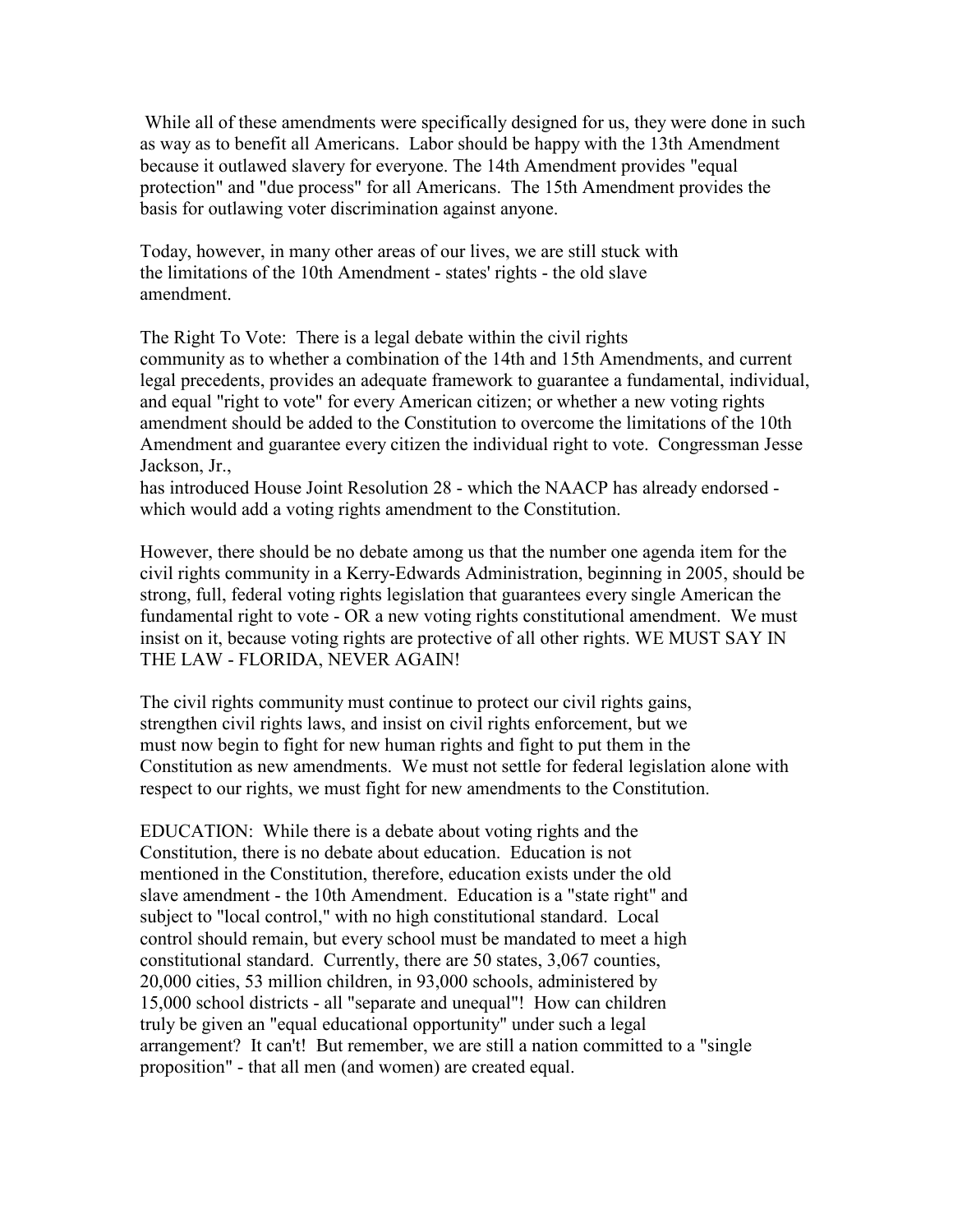While all of these amendments were specifically designed for us, they were done in such as way as to benefit all Americans. Labor should be happy with the 13th Amendment because it outlawed slavery for everyone. The 14th Amendment provides "equal protection" and "due process" for all Americans. The 15th Amendment provides the basis for outlawing voter discrimination against anyone.

Today, however, in many other areas of our lives, we are still stuck with the limitations of the 10th Amendment - states' rights - the old slave amendment.

The Right To Vote: There is a legal debate within the civil rights

community as to whether a combination of the 14th and 15th Amendments, and current legal precedents, provides an adequate framework to guarantee a fundamental, individual, and equal "right to vote" for every American citizen; or whether a new voting rights amendment should be added to the Constitution to overcome the limitations of the 10th Amendment and guarantee every citizen the individual right to vote. Congressman Jesse Jackson, Jr.,

has introduced House Joint Resolution 28 - which the NAACP has already endorsed which would add a voting rights amendment to the Constitution.

However, there should be no debate among us that the number one agenda item for the civil rights community in a Kerry-Edwards Administration, beginning in 2005, should be strong, full, federal voting rights legislation that guarantees every single American the fundamental right to vote - OR a new voting rights constitutional amendment. We must insist on it, because voting rights are protective of all other rights. WE MUST SAY IN THE LAW - FLORIDA, NEVER AGAIN!

The civil rights community must continue to protect our civil rights gains, strengthen civil rights laws, and insist on civil rights enforcement, but we must now begin to fight for new human rights and fight to put them in the Constitution as new amendments. We must not settle for federal legislation alone with respect to our rights, we must fight for new amendments to the Constitution.

EDUCATION: While there is a debate about voting rights and the Constitution, there is no debate about education. Education is not mentioned in the Constitution, therefore, education exists under the old slave amendment - the 10th Amendment. Education is a "state right" and subject to "local control," with no high constitutional standard. Local control should remain, but every school must be mandated to meet a high constitutional standard. Currently, there are 50 states, 3,067 counties, 20,000 cities, 53 million children, in 93,000 schools, administered by 15,000 school districts - all "separate and unequal"! How can children truly be given an "equal educational opportunity" under such a legal arrangement? It can't! But remember, we are still a nation committed to a "single proposition" - that all men (and women) are created equal.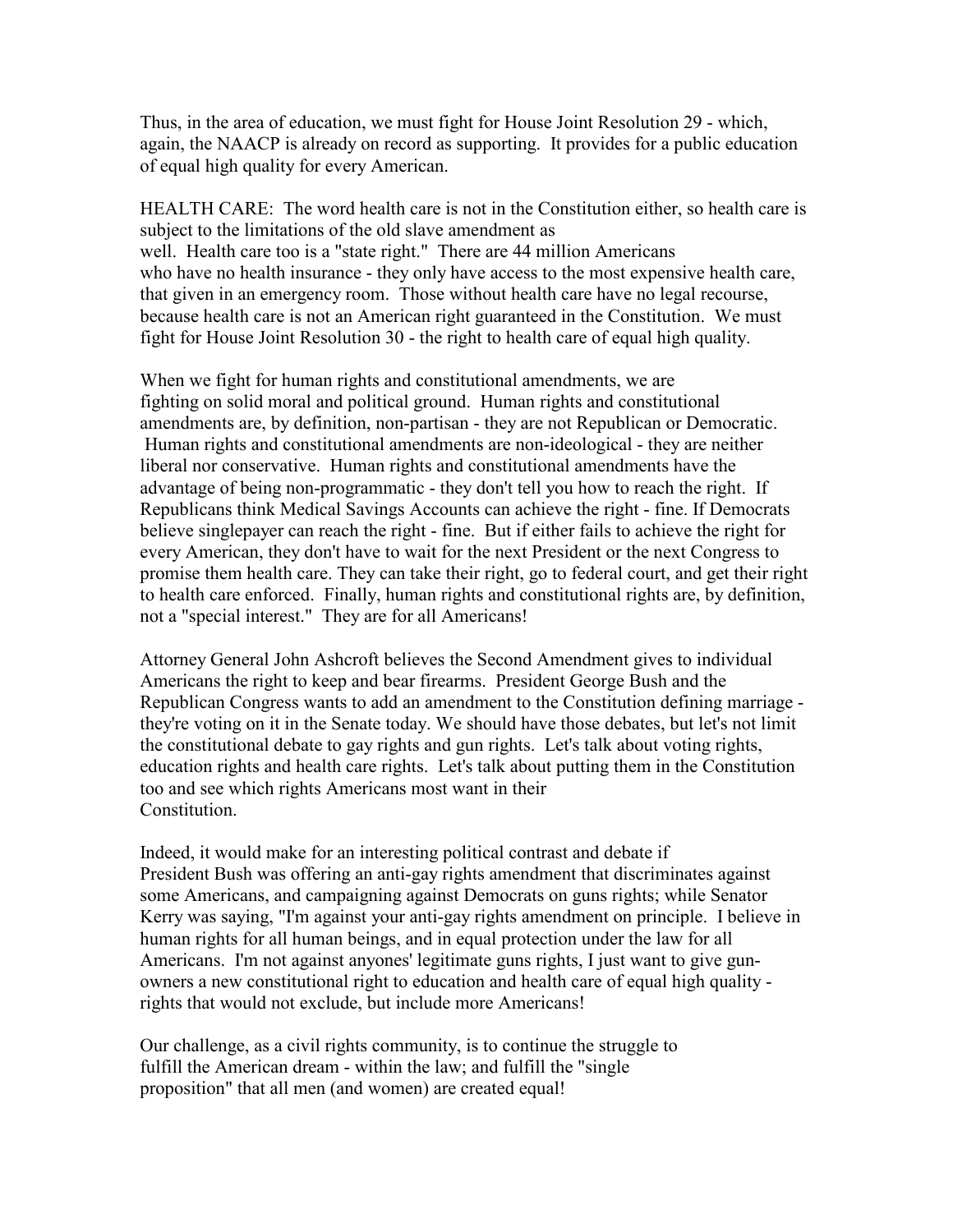Thus, in the area of education, we must fight for House Joint Resolution 29 - which, again, the NAACP is already on record as supporting. It provides for a public education of equal high quality for every American.

HEALTH CARE: The word health care is not in the Constitution either, so health care is subject to the limitations of the old slave amendment as well. Health care too is a "state right." There are 44 million Americans who have no health insurance - they only have access to the most expensive health care, that given in an emergency room. Those without health care have no legal recourse, because health care is not an American right guaranteed in the Constitution. We must fight for House Joint Resolution 30 - the right to health care of equal high quality.

When we fight for human rights and constitutional amendments, we are fighting on solid moral and political ground. Human rights and constitutional amendments are, by definition, non-partisan - they are not Republican or Democratic. Human rights and constitutional amendments are non-ideological - they are neither liberal nor conservative. Human rights and constitutional amendments have the advantage of being non-programmatic - they don't tell you how to reach the right. If Republicans think Medical Savings Accounts can achieve the right - fine. If Democrats believe singlepayer can reach the right - fine. But if either fails to achieve the right for every American, they don't have to wait for the next President or the next Congress to promise them health care. They can take their right, go to federal court, and get their right to health care enforced. Finally, human rights and constitutional rights are, by definition, not a "special interest." They are for all Americans!

Attorney General John Ashcroft believes the Second Amendment gives to individual Americans the right to keep and bear firearms. President George Bush and the Republican Congress wants to add an amendment to the Constitution defining marriage they're voting on it in the Senate today. We should have those debates, but let's not limit the constitutional debate to gay rights and gun rights. Let's talk about voting rights, education rights and health care rights. Let's talk about putting them in the Constitution too and see which rights Americans most want in their **Constitution** 

Indeed, it would make for an interesting political contrast and debate if President Bush was offering an anti-gay rights amendment that discriminates against some Americans, and campaigning against Democrats on guns rights; while Senator Kerry was saying, "I'm against your anti-gay rights amendment on principle. I believe in human rights for all human beings, and in equal protection under the law for all Americans. I'm not against anyones' legitimate guns rights, I just want to give gunowners a new constitutional right to education and health care of equal high quality rights that would not exclude, but include more Americans!

Our challenge, as a civil rights community, is to continue the struggle to fulfill the American dream - within the law; and fulfill the "single proposition" that all men (and women) are created equal!